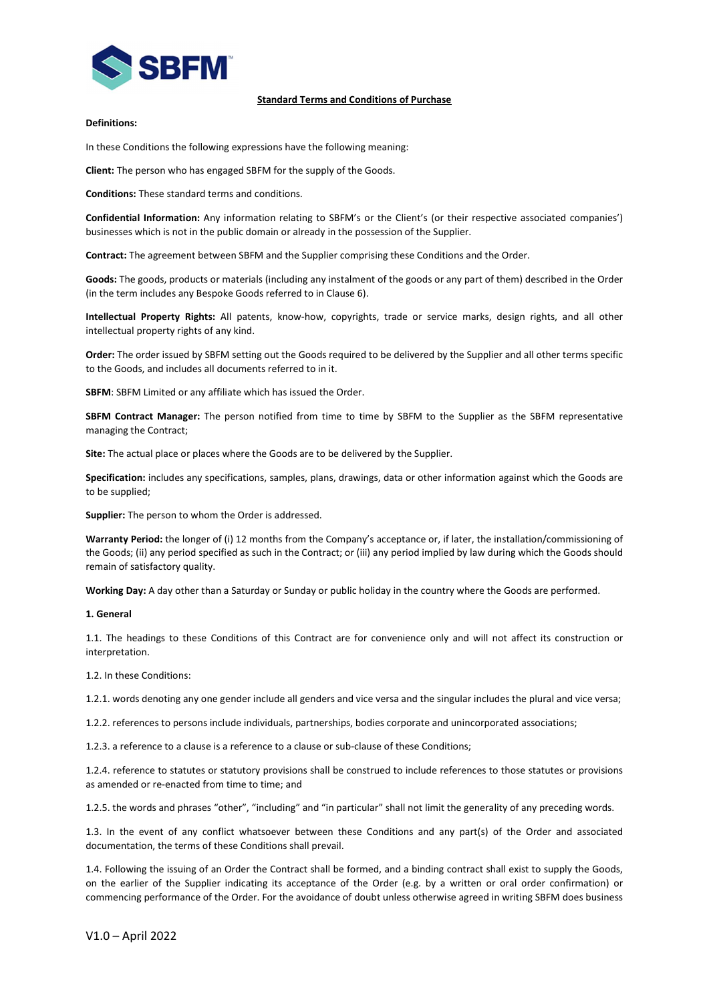

### Standard Terms and Conditions of Purchase

### Definitions:

In these Conditions the following expressions have the following meaning:

Client: The person who has engaged SBFM for the supply of the Goods.

Conditions: These standard terms and conditions.

Confidential Information: Any information relating to SBFM's or the Client's (or their respective associated companies') businesses which is not in the public domain or already in the possession of the Supplier.

Contract: The agreement between SBFM and the Supplier comprising these Conditions and the Order.

Goods: The goods, products or materials (including any instalment of the goods or any part of them) described in the Order (in the term includes any Bespoke Goods referred to in Clause 6).

Intellectual Property Rights: All patents, know-how, copyrights, trade or service marks, design rights, and all other intellectual property rights of any kind.

Order: The order issued by SBFM setting out the Goods required to be delivered by the Supplier and all other terms specific to the Goods, and includes all documents referred to in it.

SBFM: SBFM Limited or any affiliate which has issued the Order.

SBFM Contract Manager: The person notified from time to time by SBFM to the Supplier as the SBFM representative managing the Contract;

Site: The actual place or places where the Goods are to be delivered by the Supplier.

Specification: includes any specifications, samples, plans, drawings, data or other information against which the Goods are to be supplied;

Supplier: The person to whom the Order is addressed.

Warranty Period: the longer of (i) 12 months from the Company's acceptance or, if later, the installation/commissioning of the Goods; (ii) any period specified as such in the Contract; or (iii) any period implied by law during which the Goods should remain of satisfactory quality.

Working Day: A day other than a Saturday or Sunday or public holiday in the country where the Goods are performed.

#### 1. General

1.1. The headings to these Conditions of this Contract are for convenience only and will not affect its construction or interpretation.

1.2. In these Conditions:

1.2.1. words denoting any one gender include all genders and vice versa and the singular includes the plural and vice versa;

1.2.2. references to persons include individuals, partnerships, bodies corporate and unincorporated associations;

1.2.3. a reference to a clause is a reference to a clause or sub-clause of these Conditions;

1.2.4. reference to statutes or statutory provisions shall be construed to include references to those statutes or provisions as amended or re-enacted from time to time; and

1.2.5. the words and phrases "other", "including" and "in particular" shall not limit the generality of any preceding words.

1.3. In the event of any conflict whatsoever between these Conditions and any part(s) of the Order and associated documentation, the terms of these Conditions shall prevail.

1.4. Following the issuing of an Order the Contract shall be formed, and a binding contract shall exist to supply the Goods, on the earlier of the Supplier indicating its acceptance of the Order (e.g. by a written or oral order confirmation) or commencing performance of the Order. For the avoidance of doubt unless otherwise agreed in writing SBFM does business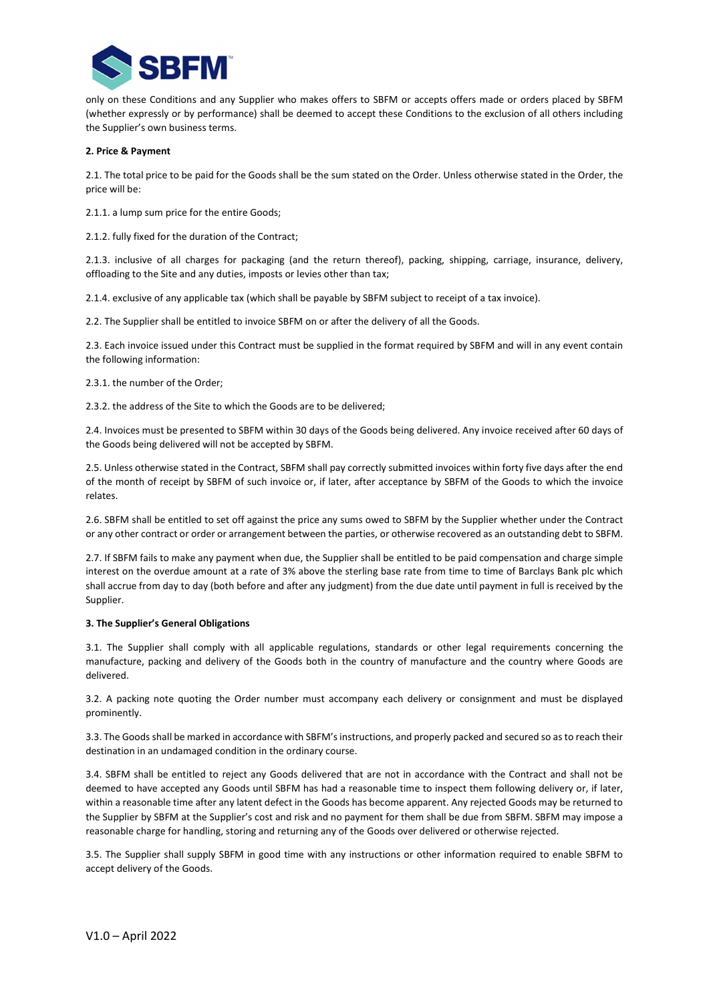

only on these Conditions and any Supplier who makes offers to SBFM or accepts offers made or orders placed by SBFM (whether expressly or by performance) shall be deemed to accept these Conditions to the exclusion of all others including the Supplier's own business terms.

### 2. Price & Payment

2.1. The total price to be paid for the Goods shall be the sum stated on the Order. Unless otherwise stated in the Order, the price will be:

2.1.1. a lump sum price for the entire Goods;

2.1.2. fully fixed for the duration of the Contract;

2.1.3. inclusive of all charges for packaging (and the return thereof), packing, shipping, carriage, insurance, delivery, offloading to the Site and any duties, imposts or levies other than tax;

2.1.4. exclusive of any applicable tax (which shall be payable by SBFM subject to receipt of a tax invoice).

2.2. The Supplier shall be entitled to invoice SBFM on or after the delivery of all the Goods.

2.3. Each invoice issued under this Contract must be supplied in the format required by SBFM and will in any event contain the following information:

2.3.1. the number of the Order;

2.3.2. the address of the Site to which the Goods are to be delivered;

2.4. Invoices must be presented to SBFM within 30 days of the Goods being delivered. Any invoice received after 60 days of the Goods being delivered will not be accepted by SBFM.

2.5. Unless otherwise stated in the Contract, SBFM shall pay correctly submitted invoices within forty five days after the end of the month of receipt by SBFM of such invoice or, if later, after acceptance by SBFM of the Goods to which the invoice relates.

2.6. SBFM shall be entitled to set off against the price any sums owed to SBFM by the Supplier whether under the Contract or any other contract or order or arrangement between the parties, or otherwise recovered as an outstanding debt to SBFM.

2.7. If SBFM fails to make any payment when due, the Supplier shall be entitled to be paid compensation and charge simple interest on the overdue amount at a rate of 3% above the sterling base rate from time to time of Barclays Bank plc which shall accrue from day to day (both before and after any judgment) from the due date until payment in full is received by the Supplier.

#### 3. The Supplier's General Obligations

3.1. The Supplier shall comply with all applicable regulations, standards or other legal requirements concerning the manufacture, packing and delivery of the Goods both in the country of manufacture and the country where Goods are delivered.

3.2. A packing note quoting the Order number must accompany each delivery or consignment and must be displayed prominently.

3.3. The Goods shall be marked in accordance with SBFM's instructions, and properly packed and secured so as to reach their destination in an undamaged condition in the ordinary course.

3.4. SBFM shall be entitled to reject any Goods delivered that are not in accordance with the Contract and shall not be deemed to have accepted any Goods until SBFM has had a reasonable time to inspect them following delivery or, if later, within a reasonable time after any latent defect in the Goods has become apparent. Any rejected Goods may be returned to the Supplier by SBFM at the Supplier's cost and risk and no payment for them shall be due from SBFM. SBFM may impose a reasonable charge for handling, storing and returning any of the Goods over delivered or otherwise rejected.

3.5. The Supplier shall supply SBFM in good time with any instructions or other information required to enable SBFM to accept delivery of the Goods.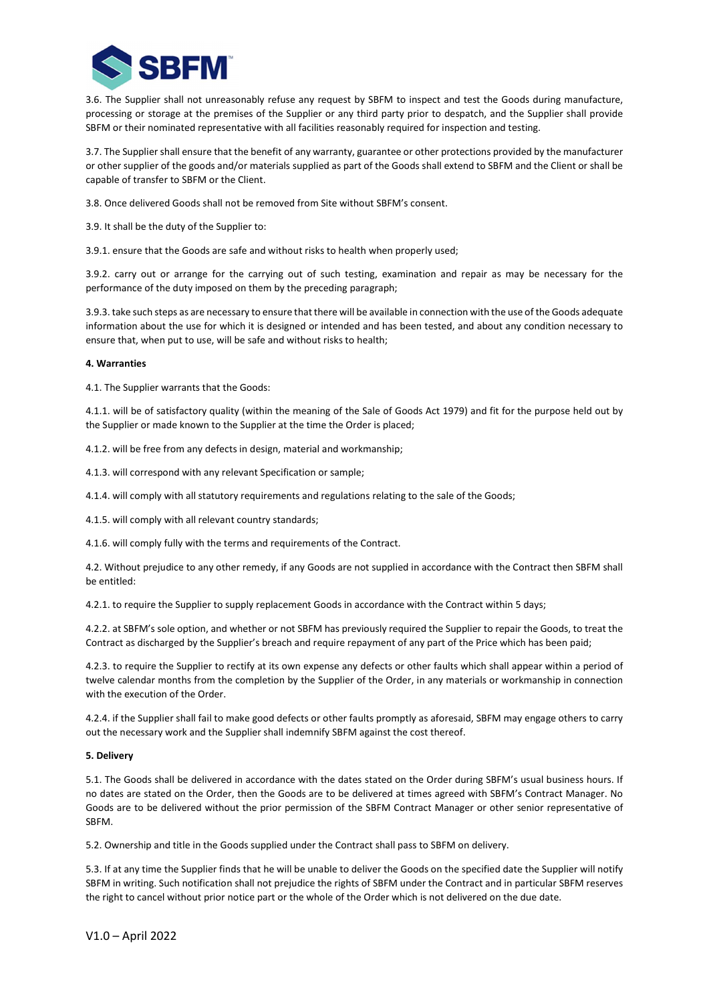

3.6. The Supplier shall not unreasonably refuse any request by SBFM to inspect and test the Goods during manufacture, processing or storage at the premises of the Supplier or any third party prior to despatch, and the Supplier shall provide SBFM or their nominated representative with all facilities reasonably required for inspection and testing.

3.7. The Supplier shall ensure that the benefit of any warranty, guarantee or other protections provided by the manufacturer or other supplier of the goods and/or materials supplied as part of the Goods shall extend to SBFM and the Client or shall be capable of transfer to SBFM or the Client.

- 3.8. Once delivered Goods shall not be removed from Site without SBFM's consent.
- 3.9. It shall be the duty of the Supplier to:

3.9.1. ensure that the Goods are safe and without risks to health when properly used;

3.9.2. carry out or arrange for the carrying out of such testing, examination and repair as may be necessary for the performance of the duty imposed on them by the preceding paragraph;

3.9.3. take such steps as are necessary to ensure that there will be available in connection with the use of the Goods adequate information about the use for which it is designed or intended and has been tested, and about any condition necessary to ensure that, when put to use, will be safe and without risks to health;

### 4. Warranties

4.1. The Supplier warrants that the Goods:

4.1.1. will be of satisfactory quality (within the meaning of the Sale of Goods Act 1979) and fit for the purpose held out by the Supplier or made known to the Supplier at the time the Order is placed;

4.1.2. will be free from any defects in design, material and workmanship;

4.1.3. will correspond with any relevant Specification or sample;

4.1.4. will comply with all statutory requirements and regulations relating to the sale of the Goods;

4.1.5. will comply with all relevant country standards;

4.1.6. will comply fully with the terms and requirements of the Contract.

4.2. Without prejudice to any other remedy, if any Goods are not supplied in accordance with the Contract then SBFM shall be entitled:

4.2.1. to require the Supplier to supply replacement Goods in accordance with the Contract within 5 days;

4.2.2. at SBFM's sole option, and whether or not SBFM has previously required the Supplier to repair the Goods, to treat the Contract as discharged by the Supplier's breach and require repayment of any part of the Price which has been paid;

4.2.3. to require the Supplier to rectify at its own expense any defects or other faults which shall appear within a period of twelve calendar months from the completion by the Supplier of the Order, in any materials or workmanship in connection with the execution of the Order.

4.2.4. if the Supplier shall fail to make good defects or other faults promptly as aforesaid, SBFM may engage others to carry out the necessary work and the Supplier shall indemnify SBFM against the cost thereof.

# 5. Delivery

5.1. The Goods shall be delivered in accordance with the dates stated on the Order during SBFM's usual business hours. If no dates are stated on the Order, then the Goods are to be delivered at times agreed with SBFM's Contract Manager. No Goods are to be delivered without the prior permission of the SBFM Contract Manager or other senior representative of SBFM.

5.2. Ownership and title in the Goods supplied under the Contract shall pass to SBFM on delivery.

5.3. If at any time the Supplier finds that he will be unable to deliver the Goods on the specified date the Supplier will notify SBFM in writing. Such notification shall not prejudice the rights of SBFM under the Contract and in particular SBFM reserves the right to cancel without prior notice part or the whole of the Order which is not delivered on the due date.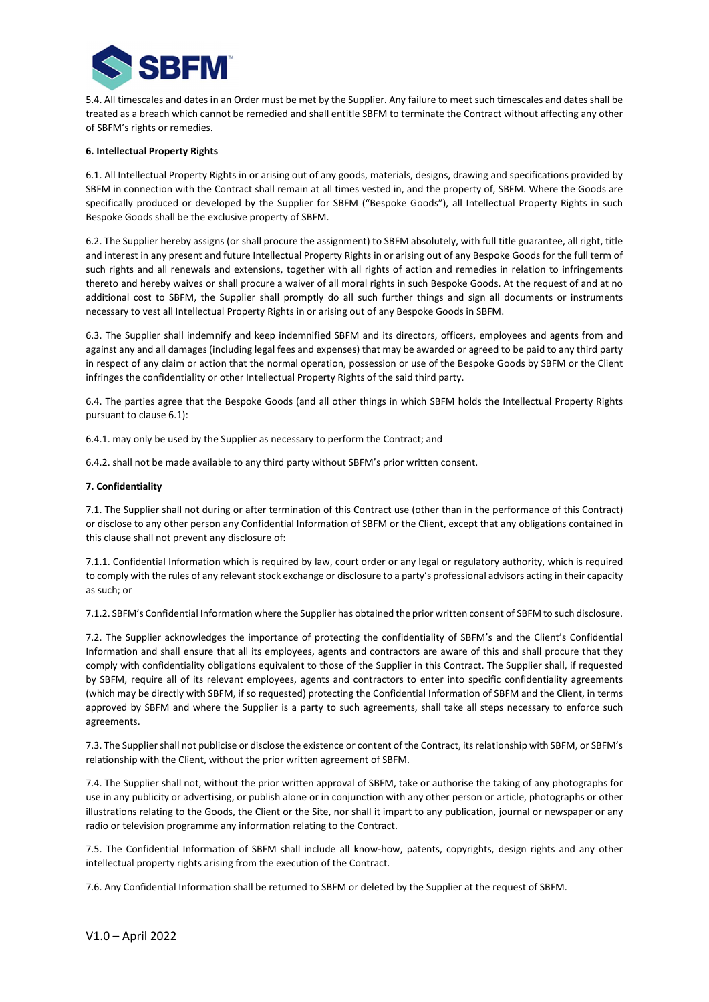

5.4. All timescales and dates in an Order must be met by the Supplier. Any failure to meet such timescales and dates shall be treated as a breach which cannot be remedied and shall entitle SBFM to terminate the Contract without affecting any other of SBFM's rights or remedies.

### 6. Intellectual Property Rights

6.1. All Intellectual Property Rights in or arising out of any goods, materials, designs, drawing and specifications provided by SBFM in connection with the Contract shall remain at all times vested in, and the property of, SBFM. Where the Goods are specifically produced or developed by the Supplier for SBFM ("Bespoke Goods"), all Intellectual Property Rights in such Bespoke Goods shall be the exclusive property of SBFM.

6.2. The Supplier hereby assigns (or shall procure the assignment) to SBFM absolutely, with full title guarantee, all right, title and interest in any present and future Intellectual Property Rights in or arising out of any Bespoke Goods for the full term of such rights and all renewals and extensions, together with all rights of action and remedies in relation to infringements thereto and hereby waives or shall procure a waiver of all moral rights in such Bespoke Goods. At the request of and at no additional cost to SBFM, the Supplier shall promptly do all such further things and sign all documents or instruments necessary to vest all Intellectual Property Rights in or arising out of any Bespoke Goods in SBFM.

6.3. The Supplier shall indemnify and keep indemnified SBFM and its directors, officers, employees and agents from and against any and all damages (including legal fees and expenses) that may be awarded or agreed to be paid to any third party in respect of any claim or action that the normal operation, possession or use of the Bespoke Goods by SBFM or the Client infringes the confidentiality or other Intellectual Property Rights of the said third party.

6.4. The parties agree that the Bespoke Goods (and all other things in which SBFM holds the Intellectual Property Rights pursuant to clause 6.1):

6.4.1. may only be used by the Supplier as necessary to perform the Contract; and

6.4.2. shall not be made available to any third party without SBFM's prior written consent.

### 7. Confidentiality

7.1. The Supplier shall not during or after termination of this Contract use (other than in the performance of this Contract) or disclose to any other person any Confidential Information of SBFM or the Client, except that any obligations contained in this clause shall not prevent any disclosure of:

7.1.1. Confidential Information which is required by law, court order or any legal or regulatory authority, which is required to comply with the rules of any relevant stock exchange or disclosure to a party's professional advisors acting in their capacity as such; or

7.1.2. SBFM's Confidential Information where the Supplier has obtained the prior written consent of SBFM to such disclosure.

7.2. The Supplier acknowledges the importance of protecting the confidentiality of SBFM's and the Client's Confidential Information and shall ensure that all its employees, agents and contractors are aware of this and shall procure that they comply with confidentiality obligations equivalent to those of the Supplier in this Contract. The Supplier shall, if requested by SBFM, require all of its relevant employees, agents and contractors to enter into specific confidentiality agreements (which may be directly with SBFM, if so requested) protecting the Confidential Information of SBFM and the Client, in terms approved by SBFM and where the Supplier is a party to such agreements, shall take all steps necessary to enforce such agreements.

7.3. The Supplier shall not publicise or disclose the existence or content of the Contract, its relationship with SBFM, or SBFM's relationship with the Client, without the prior written agreement of SBFM.

7.4. The Supplier shall not, without the prior written approval of SBFM, take or authorise the taking of any photographs for use in any publicity or advertising, or publish alone or in conjunction with any other person or article, photographs or other illustrations relating to the Goods, the Client or the Site, nor shall it impart to any publication, journal or newspaper or any radio or television programme any information relating to the Contract.

7.5. The Confidential Information of SBFM shall include all know-how, patents, copyrights, design rights and any other intellectual property rights arising from the execution of the Contract.

7.6. Any Confidential Information shall be returned to SBFM or deleted by the Supplier at the request of SBFM.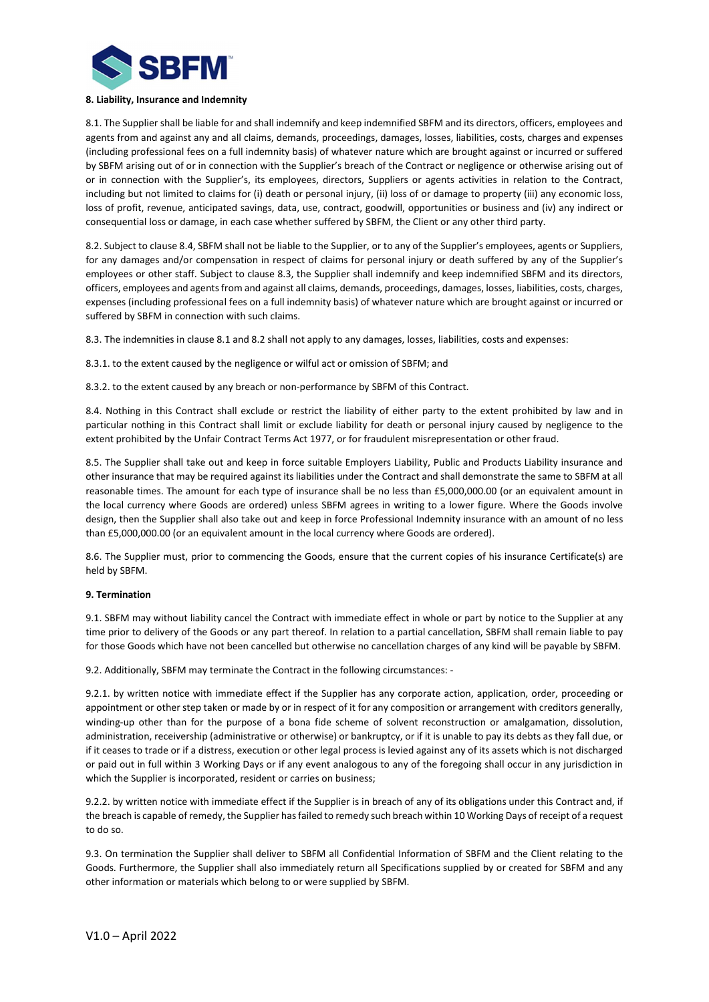

### 8. Liability, Insurance and Indemnity

8.1. The Supplier shall be liable for and shall indemnify and keep indemnified SBFM and its directors, officers, employees and agents from and against any and all claims, demands, proceedings, damages, losses, liabilities, costs, charges and expenses (including professional fees on a full indemnity basis) of whatever nature which are brought against or incurred or suffered by SBFM arising out of or in connection with the Supplier's breach of the Contract or negligence or otherwise arising out of or in connection with the Supplier's, its employees, directors, Suppliers or agents activities in relation to the Contract, including but not limited to claims for (i) death or personal injury, (ii) loss of or damage to property (iii) any economic loss, loss of profit, revenue, anticipated savings, data, use, contract, goodwill, opportunities or business and (iv) any indirect or consequential loss or damage, in each case whether suffered by SBFM, the Client or any other third party.

8.2. Subject to clause 8.4, SBFM shall not be liable to the Supplier, or to any of the Supplier's employees, agents or Suppliers, for any damages and/or compensation in respect of claims for personal injury or death suffered by any of the Supplier's employees or other staff. Subject to clause 8.3, the Supplier shall indemnify and keep indemnified SBFM and its directors, officers, employees and agents from and against all claims, demands, proceedings, damages, losses, liabilities, costs, charges, expenses (including professional fees on a full indemnity basis) of whatever nature which are brought against or incurred or suffered by SBFM in connection with such claims.

8.3. The indemnities in clause 8.1 and 8.2 shall not apply to any damages, losses, liabilities, costs and expenses:

8.3.1. to the extent caused by the negligence or wilful act or omission of SBFM; and

8.3.2. to the extent caused by any breach or non-performance by SBFM of this Contract.

8.4. Nothing in this Contract shall exclude or restrict the liability of either party to the extent prohibited by law and in particular nothing in this Contract shall limit or exclude liability for death or personal injury caused by negligence to the extent prohibited by the Unfair Contract Terms Act 1977, or for fraudulent misrepresentation or other fraud.

8.5. The Supplier shall take out and keep in force suitable Employers Liability, Public and Products Liability insurance and other insurance that may be required against its liabilities under the Contract and shall demonstrate the same to SBFM at all reasonable times. The amount for each type of insurance shall be no less than £5,000,000.00 (or an equivalent amount in the local currency where Goods are ordered) unless SBFM agrees in writing to a lower figure. Where the Goods involve design, then the Supplier shall also take out and keep in force Professional Indemnity insurance with an amount of no less than £5,000,000.00 (or an equivalent amount in the local currency where Goods are ordered).

8.6. The Supplier must, prior to commencing the Goods, ensure that the current copies of his insurance Certificate(s) are held by SBFM.

# 9. Termination

9.1. SBFM may without liability cancel the Contract with immediate effect in whole or part by notice to the Supplier at any time prior to delivery of the Goods or any part thereof. In relation to a partial cancellation, SBFM shall remain liable to pay for those Goods which have not been cancelled but otherwise no cancellation charges of any kind will be payable by SBFM.

9.2. Additionally, SBFM may terminate the Contract in the following circumstances: -

9.2.1. by written notice with immediate effect if the Supplier has any corporate action, application, order, proceeding or appointment or other step taken or made by or in respect of it for any composition or arrangement with creditors generally, winding-up other than for the purpose of a bona fide scheme of solvent reconstruction or amalgamation, dissolution, administration, receivership (administrative or otherwise) or bankruptcy, or if it is unable to pay its debts as they fall due, or if it ceases to trade or if a distress, execution or other legal process is levied against any of its assets which is not discharged or paid out in full within 3 Working Days or if any event analogous to any of the foregoing shall occur in any jurisdiction in which the Supplier is incorporated, resident or carries on business;

9.2.2. by written notice with immediate effect if the Supplier is in breach of any of its obligations under this Contract and, if the breach is capable of remedy, the Supplier has failed to remedy such breach within 10 Working Days of receipt of a request to do so.

9.3. On termination the Supplier shall deliver to SBFM all Confidential Information of SBFM and the Client relating to the Goods. Furthermore, the Supplier shall also immediately return all Specifications supplied by or created for SBFM and any other information or materials which belong to or were supplied by SBFM.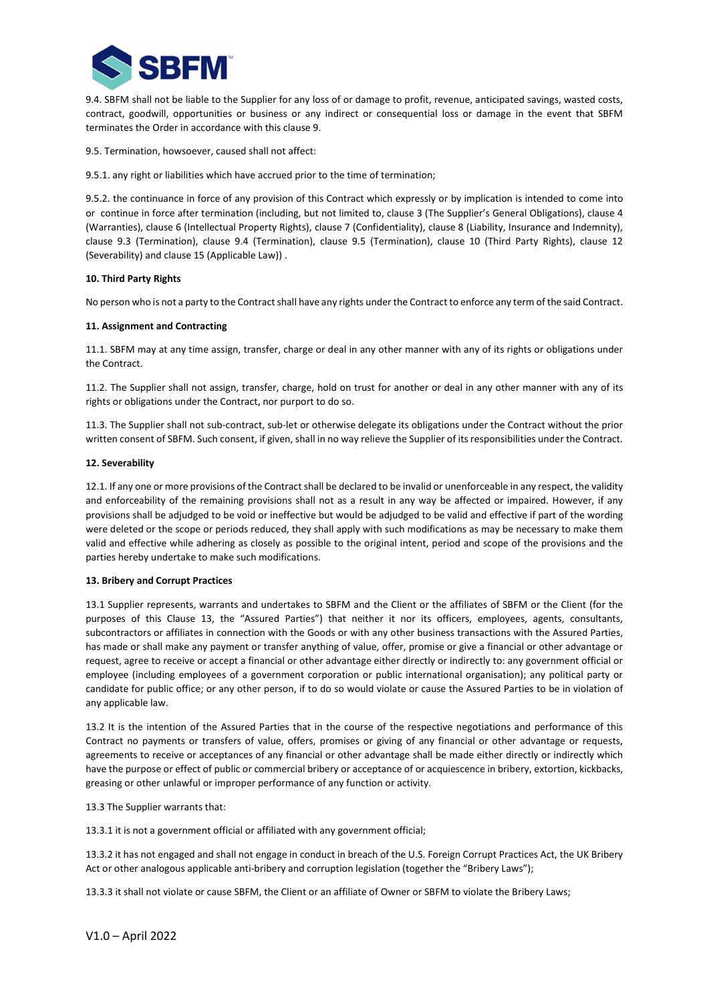

9.4. SBFM shall not be liable to the Supplier for any loss of or damage to profit, revenue, anticipated savings, wasted costs, contract, goodwill, opportunities or business or any indirect or consequential loss or damage in the event that SBFM terminates the Order in accordance with this clause 9.

9.5. Termination, howsoever, caused shall not affect:

9.5.1. any right or liabilities which have accrued prior to the time of termination;

9.5.2. the continuance in force of any provision of this Contract which expressly or by implication is intended to come into or continue in force after termination (including, but not limited to, clause 3 (The Supplier's General Obligations), clause 4 (Warranties), clause 6 (Intellectual Property Rights), clause 7 (Confidentiality), clause 8 (Liability, Insurance and Indemnity), clause 9.3 (Termination), clause 9.4 (Termination), clause 9.5 (Termination), clause 10 (Third Party Rights), clause 12 (Severability) and clause 15 (Applicable Law)) .

### 10. Third Party Rights

No person who is not a party to the Contract shall have any rights under the Contract to enforce any term of the said Contract.

### 11. Assignment and Contracting

11.1. SBFM may at any time assign, transfer, charge or deal in any other manner with any of its rights or obligations under the Contract.

11.2. The Supplier shall not assign, transfer, charge, hold on trust for another or deal in any other manner with any of its rights or obligations under the Contract, nor purport to do so.

11.3. The Supplier shall not sub-contract, sub-let or otherwise delegate its obligations under the Contract without the prior written consent of SBFM. Such consent, if given, shall in no way relieve the Supplier of its responsibilities under the Contract.

### 12. Severability

12.1. If any one or more provisions of the Contract shall be declared to be invalid or unenforceable in any respect, the validity and enforceability of the remaining provisions shall not as a result in any way be affected or impaired. However, if any provisions shall be adjudged to be void or ineffective but would be adjudged to be valid and effective if part of the wording were deleted or the scope or periods reduced, they shall apply with such modifications as may be necessary to make them valid and effective while adhering as closely as possible to the original intent, period and scope of the provisions and the parties hereby undertake to make such modifications.

#### 13. Bribery and Corrupt Practices

13.1 Supplier represents, warrants and undertakes to SBFM and the Client or the affiliates of SBFM or the Client (for the purposes of this Clause 13, the "Assured Parties") that neither it nor its officers, employees, agents, consultants, subcontractors or affiliates in connection with the Goods or with any other business transactions with the Assured Parties, has made or shall make any payment or transfer anything of value, offer, promise or give a financial or other advantage or request, agree to receive or accept a financial or other advantage either directly or indirectly to: any government official or employee (including employees of a government corporation or public international organisation); any political party or candidate for public office; or any other person, if to do so would violate or cause the Assured Parties to be in violation of any applicable law.

13.2 It is the intention of the Assured Parties that in the course of the respective negotiations and performance of this Contract no payments or transfers of value, offers, promises or giving of any financial or other advantage or requests, agreements to receive or acceptances of any financial or other advantage shall be made either directly or indirectly which have the purpose or effect of public or commercial bribery or acceptance of or acquiescence in bribery, extortion, kickbacks, greasing or other unlawful or improper performance of any function or activity.

13.3 The Supplier warrants that:

13.3.1 it is not a government official or affiliated with any government official;

13.3.2 it has not engaged and shall not engage in conduct in breach of the U.S. Foreign Corrupt Practices Act, the UK Bribery Act or other analogous applicable anti-bribery and corruption legislation (together the "Bribery Laws");

13.3.3 it shall not violate or cause SBFM, the Client or an affiliate of Owner or SBFM to violate the Bribery Laws;